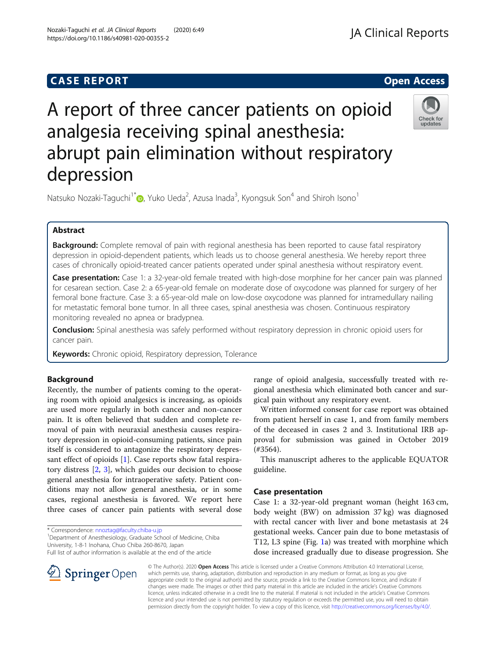# **CASE REPORT CASE REPORT CASE REPORT**

# A report of three cancer patients on opioid analgesia receiving spinal anesthesia: abrupt pain elimination without respiratory depression

Natsuko Nozaki-Taguchi<sup>1\*</sup> (@[,](http://orcid.org/0000-0001-7855-6138) Yuko Ueda<sup>2</sup>, Azusa Inada<sup>3</sup>, Kyongsuk Son<sup>4</sup> and Shiroh Isono<sup>1</sup>

# Abstract

Background: Complete removal of pain with regional anesthesia has been reported to cause fatal respiratory depression in opioid-dependent patients, which leads us to choose general anesthesia. We hereby report three cases of chronically opioid-treated cancer patients operated under spinal anesthesia without respiratory event.

Case presentation: Case 1: a 32-year-old female treated with high-dose morphine for her cancer pain was planned for cesarean section. Case 2: a 65-year-old female on moderate dose of oxycodone was planned for surgery of her femoral bone fracture. Case 3: a 65-year-old male on low-dose oxycodone was planned for intramedullary nailing for metastatic femoral bone tumor. In all three cases, spinal anesthesia was chosen. Continuous respiratory monitoring revealed no apnea or bradypnea.

**Conclusion:** Spinal anesthesia was safely performed without respiratory depression in chronic opioid users for cancer pain.

Keywords: Chronic opioid, Respiratory depression, Tolerance

# Background

Recently, the number of patients coming to the operating room with opioid analgesics is increasing, as opioids are used more regularly in both cancer and non-cancer pain. It is often believed that sudden and complete removal of pain with neuraxial anesthesia causes respiratory depression in opioid-consuming patients, since pain itself is considered to antagonize the respiratory depressant effect of opioids [[1\]](#page-3-0). Case reports show fatal respiratory distress [[2,](#page-3-0) [3](#page-3-0)], which guides our decision to choose general anesthesia for intraoperative safety. Patient conditions may not allow general anesthesia, or in some cases, regional anesthesia is favored. We report here three cases of cancer pain patients with several dose

\* Correspondence: [nnoztag@faculty.chiba-u.jp](mailto:nnoztag@faculty.chiba-u.jp) <sup>1</sup>

**Springer** Open

<sup>1</sup> Department of Anesthesiology, Graduate School of Medicine, Chiba University, 1-8-1 Inohana, Chuo Chiba 260-8670, Japan

Full list of author information is available at the end of the article

range of opioid analgesia, successfully treated with regional anesthesia which eliminated both cancer and surgical pain without any respiratory event.

Written informed consent for case report was obtained from patient herself in case 1, and from family members of the deceased in cases 2 and 3. Institutional IRB approval for submission was gained in October 2019 (#3564).

This manuscript adheres to the applicable EQUATOR guideline.

# Case presentation

Case 1: a 32-year-old pregnant woman (height 163 cm, body weight (BW) on admission 37 kg) was diagnosed with rectal cancer with liver and bone metastasis at 24 gestational weeks. Cancer pain due to bone metastasis of T12, L3 spine (Fig. [1a](#page-1-0)) was treated with morphine which dose increased gradually due to disease progression. She

© The Author(s). 2020 Open Access This article is licensed under a Creative Commons Attribution 4.0 International License, which permits use, sharing, adaptation, distribution and reproduction in any medium or format, as long as you give appropriate credit to the original author(s) and the source, provide a link to the Creative Commons licence, and indicate if changes were made. The images or other third party material in this article are included in the article's Creative Commons licence, unless indicated otherwise in a credit line to the material. If material is not included in the article's Creative Commons licence and your intended use is not permitted by statutory regulation or exceeds the permitted use, you will need to obtain permission directly from the copyright holder. To view a copy of this licence, visit <http://creativecommons.org/licenses/by/4.0/>.





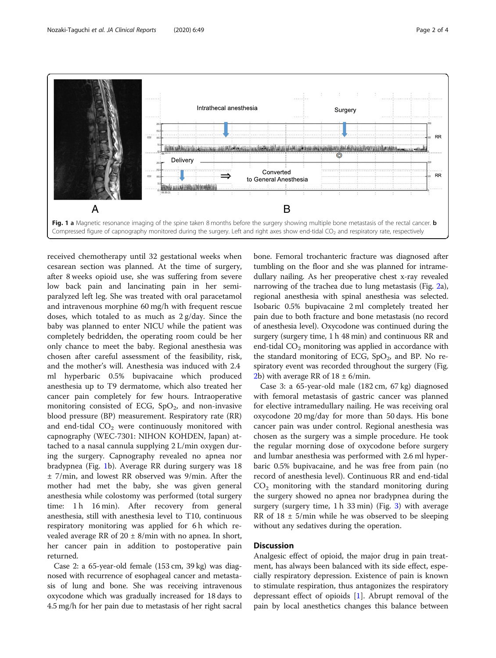<span id="page-1-0"></span>

received chemotherapy until 32 gestational weeks when cesarean section was planned. At the time of surgery, after 8 weeks opioid use, she was suffering from severe low back pain and lancinating pain in her semiparalyzed left leg. She was treated with oral paracetamol and intravenous morphine 60 mg/h with frequent rescue doses, which totaled to as much as 2 g/day. Since the baby was planned to enter NICU while the patient was completely bedridden, the operating room could be her only chance to meet the baby. Regional anesthesia was chosen after careful assessment of the feasibility, risk, and the mother's will. Anesthesia was induced with 2.4 ml hyperbaric 0.5% bupivacaine which produced anesthesia up to T9 dermatome, which also treated her cancer pain completely for few hours. Intraoperative monitoring consisted of ECG,  $SpO<sub>2</sub>$ , and non-invasive blood pressure (BP) measurement. Respiratory rate (RR) and end-tidal  $CO<sub>2</sub>$  were continuously monitored with capnography (WEC-7301: NIHON KOHDEN, Japan) attached to a nasal cannula supplying 2 L/min oxygen during the surgery. Capnography revealed no apnea nor bradypnea (Fig. 1b). Average RR during surgery was 18 ± 7/min, and lowest RR observed was 9/min. After the mother had met the baby, she was given general anesthesia while colostomy was performed (total surgery time: 1 h 16 min). After recovery from general anesthesia, still with anesthesia level to T10, continuous respiratory monitoring was applied for 6 h which revealed average RR of  $20 \pm 8$ /min with no apnea. In short, her cancer pain in addition to postoperative pain returned.

Case 2: a 65-year-old female (153 cm, 39 kg) was diagnosed with recurrence of esophageal cancer and metastasis of lung and bone. She was receiving intravenous oxycodone which was gradually increased for 18 days to 4.5 mg/h for her pain due to metastasis of her right sacral

bone. Femoral trochanteric fracture was diagnosed after tumbling on the floor and she was planned for intramedullary nailing. As her preoperative chest x-ray revealed narrowing of the trachea due to lung metastasis (Fig. [2](#page-2-0)a), regional anesthesia with spinal anesthesia was selected. Isobaric 0.5% bupivacaine 2 ml completely treated her pain due to both fracture and bone metastasis (no record of anesthesia level). Oxycodone was continued during the surgery (surgery time, 1 h 48 min) and continuous RR and end-tidal  $CO<sub>2</sub>$  monitoring was applied in accordance with the standard monitoring of ECG,  $SpO<sub>2</sub>$ , and BP. No respiratory event was recorded throughout the surgery (Fig. [2b](#page-2-0)) with average RR of  $18 \pm 6$ /min.

Case 3: a 65-year-old male (182 cm, 67 kg) diagnosed with femoral metastasis of gastric cancer was planned for elective intramedullary nailing. He was receiving oral oxycodone 20 mg/day for more than 50 days. His bone cancer pain was under control. Regional anesthesia was chosen as the surgery was a simple procedure. He took the regular morning dose of oxycodone before surgery and lumbar anesthesia was performed with 2.6 ml hyperbaric 0.5% bupivacaine, and he was free from pain (no record of anesthesia level). Continuous RR and end-tidal  $CO<sub>2</sub>$  monitoring with the standard monitoring during the surgery showed no apnea nor bradypnea during the surgery (surgery time,  $1 h 33 min$ ) (Fig. [3\)](#page-2-0) with average RR of  $18 \pm 5$ /min while he was observed to be sleeping without any sedatives during the operation.

# **Discussion**

Analgesic effect of opioid, the major drug in pain treatment, has always been balanced with its side effect, especially respiratory depression. Existence of pain is known to stimulate respiration, thus antagonizes the respiratory depressant effect of opioids [\[1](#page-3-0)]. Abrupt removal of the pain by local anesthetics changes this balance between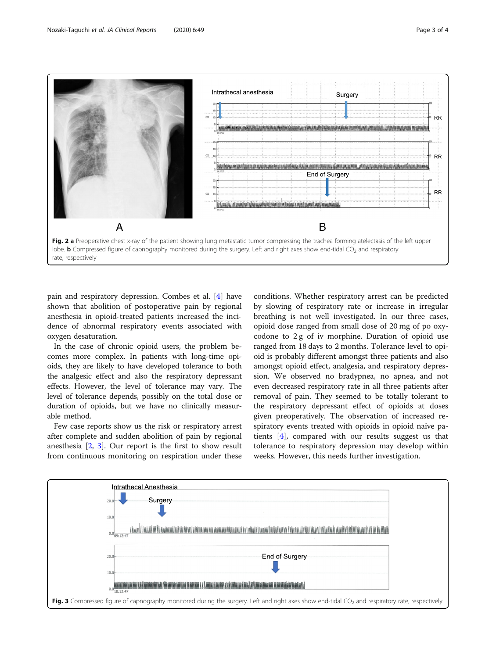<span id="page-2-0"></span>

pain and respiratory depression. Combes et al. [[4\]](#page-3-0) have shown that abolition of postoperative pain by regional anesthesia in opioid-treated patients increased the incidence of abnormal respiratory events associated with oxygen desaturation.

In the case of chronic opioid users, the problem becomes more complex. In patients with long-time opioids, they are likely to have developed tolerance to both the analgesic effect and also the respiratory depressant effects. However, the level of tolerance may vary. The level of tolerance depends, possibly on the total dose or duration of opioids, but we have no clinically measurable method.

Few case reports show us the risk or respiratory arrest after complete and sudden abolition of pain by regional anesthesia [[2,](#page-3-0) [3\]](#page-3-0). Our report is the first to show result from continuous monitoring on respiration under these conditions. Whether respiratory arrest can be predicted by slowing of respiratory rate or increase in irregular breathing is not well investigated. In our three cases, opioid dose ranged from small dose of 20 mg of po oxycodone to 2 g of iv morphine. Duration of opioid use ranged from 18 days to 2 months. Tolerance level to opioid is probably different amongst three patients and also amongst opioid effect, analgesia, and respiratory depression. We observed no bradypnea, no apnea, and not even decreased respiratory rate in all three patients after removal of pain. They seemed to be totally tolerant to the respiratory depressant effect of opioids at doses given preoperatively. The observation of increased respiratory events treated with opioids in opioid naïve patients [[4\]](#page-3-0), compared with our results suggest us that tolerance to respiratory depression may develop within weeks. However, this needs further investigation.